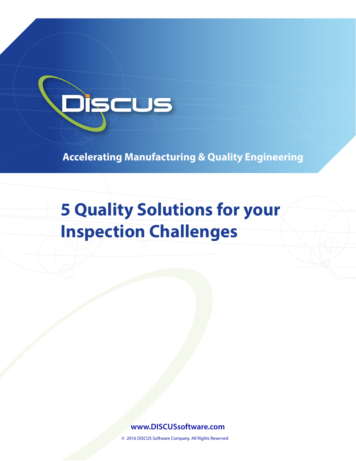

**Accelerating Manufacturing & Quality Engineering**

# **5 Quality Solutions for your Inspection Challenges**

#### **www.DISCUSsoftware.com**

© 2016 DISCUS Software Company. All Rights Reserved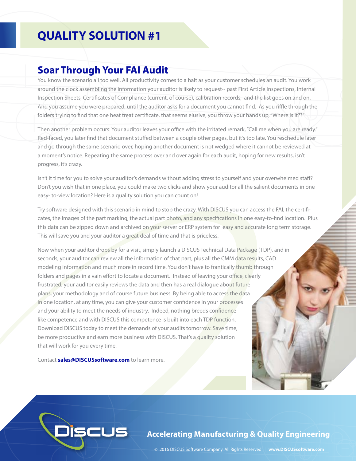# **Soar Through Your FAI Audit**

You know the scenario all too well. All productivity comes to a halt as your customer schedules an audit. You work around the clock assembling the information your auditor is likely to request-- past First Article Inspections, Internal Inspection Sheets, Certificates of Compliance (current, of course), calibration records, and the list goes on and on. And you assume you were prepared, until the auditor asks for a document you cannot find. As you riffle through the folders trying to find that one heat treat certificate, that seems elusive, you throw your hands up, "Where is it??"

Then another problem occurs: Your auditor leaves your office with the irritated remark, "Call me when you are ready." Red-faced, you later find that document stuffed between a couple other pages, but it's too late. You reschedule later and go through the same scenario over, hoping another document is not wedged where it cannot be reviewed at a moment's notice. Repeating the same process over and over again for each audit, hoping for new results, isn't progress, it's crazy.

Isn't it time for you to solve your auditor's demands without adding stress to yourself and your overwhelmed staff? Don't you wish that in one place, you could make two clicks and show your auditor all the salient documents in one easy- to-view location? Here is a quality solution you can count on!

Try software designed with this scenario in mind to stop the crazy. With DISCUS you can access the FAI, the certificates, the images of the part marking, the actual part photo, and any specifications in one easy-to-find location. Plus this data can be zipped down and archived on your server or ERP system for easy and accurate long term storage. This will save you and your auditor a great deal of time and that is priceless.

Now when your auditor drops by for a visit, simply launch a DISCUS Technical Data Package (TDP), and in seconds, your auditor can review all the information of that part, plus all the CMM data results, CAD modeling information and much more in record time. You don't have to frantically thumb through folders and pages in a vain effort to locate a document. Instead of leaving your office, clearly frustrated, your auditor easily reviews the data and then has a real dialogue about future plans, your methodology and of course future business. By being able to access the data in one location, at any time, you can give your customer confidence in your processes and your ability to meet the needs of industry. Indeed, nothing breeds confidence like competence and with DISCUS this competence is built into each TDP function. Download DISCUS today to meet the demands of your audits tomorrow. Save time, be more productive and earn more business with DISCUS. That's a quality solution that will work for you every time.

Contact **sales@DISCUSsoftware.com** to learn more.

SCUS

#### **Accelerating Manufacturing & Quality Engineering**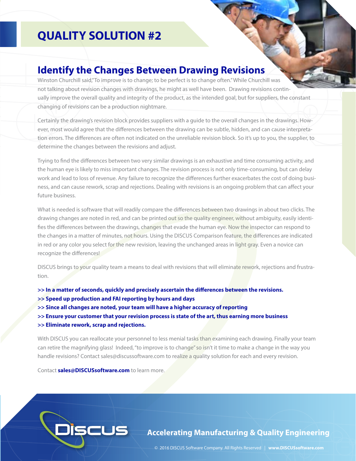## **Identify the Changes Between Drawing Revisions**

Winston Churchill said,"To improve is to change; to be perfect is to change often." While Churchill was not talking about revision changes with drawings, he might as well have been. Drawing revisions continually improve the overall quality and integrity of the product, as the intended goal, but for suppliers, the constant changing of revisions can be a production nightmare.

Certainly the drawing's revision block provides suppliers with a guide to the overall changes in the drawings. However, most would agree that the differences between the drawing can be subtle, hidden, and can cause interpretation errors. The differences are often not indicated on the unreliable revision block. So it's up to you, the supplier, to determine the changes between the revisions and adjust.

Trying to find the differences between two very similar drawings is an exhaustive and time consuming activity, and the human eye is likely to miss important changes. The revision process is not only time-consuming, but can delay work and lead to loss of revenue. Any failure to recognize the differences further exacerbates the cost of doing business, and can cause rework, scrap and rejections. Dealing with revisions is an ongoing problem that can affect your future business.

What is needed is software that will readily compare the differences between two drawings in about two clicks. The drawing changes are noted in red, and can be printed out so the quality engineer, without ambiguity, easily identifies the differences between the drawings, changes that evade the human eye. Now the inspector can respond to the changes in a matter of minutes, not hours. Using the DISCUS Comparison feature, the differences are indicated in red or any color you select for the new revision, leaving the unchanged areas in light gray. Even a novice can recognize the differences!

DISCUS brings to your quality team a means to deal with revisions that will eliminate rework, rejections and frustration.

**>> In a matter of seconds, quickly and precisely ascertain the differences between the revisions. >> Speed up production and FAI reporting by hours and days >> Since all changes are noted, your team will have a higher accuracy of reporting >> Ensure your customer that your revision process is state of the art, thus earning more business >> Eliminate rework, scrap and rejections.**

With DISCUS you can reallocate your personnel to less menial tasks than examining each drawing. Finally your team can retire the magnifying glass! Indeed, "to improve is to change" so isn't it time to make a change in the way you handle revisions? Contact sales@discussoftware.com to realize a quality solution for each and every revision.

Contact **sales@DISCUSsoftware.com** to learn more.

### **Accelerating Manufacturing & Quality Engineering**

© 2016 DISCUS Software Company. All Rights Reserved | **www.DISCUSsoftware.com**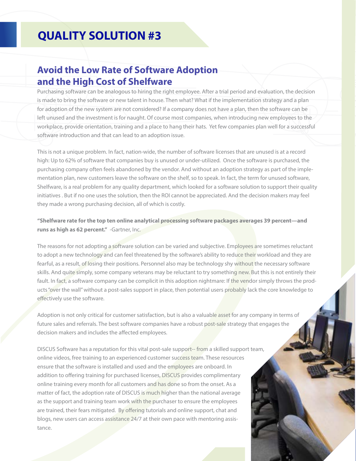### **Avoid the Low Rate of Software Adoption and the High Cost of Shelfware**

Purchasing software can be analogous to hiring the right employee. After a trial period and evaluation, the decision is made to bring the software or new talent in house. Then what? What if the implementation strategy and a plan for adoption of the new system are not considered? If a company does not have a plan, then the software can be left unused and the investment is for naught. Of course most companies, when introducing new employees to the workplace, provide orientation, training and a place to hang their hats. Yet few companies plan well for a successful software introduction and that can lead to an adoption issue.

This is not a unique problem. In fact, nation-wide, the number of software licenses that are unused is at a record high: Up to 62% of software that companies buy is unused or under-utilized. Once the software is purchased, the purchasing company often feels abandoned by the vendor. And without an adoption strategy as part of the implementation plan, new customers leave the software on the shelf, so to speak. In fact, the term for unused software, Shelfware, is a real problem for any quality department, which looked for a software solution to support their quality initiatives . But if no one uses the solution, then the ROI cannot be appreciated. And the decision makers may feel they made a wrong purchasing decision, all of which is costly.

**"Shelfware rate for the top ten online analytical processing software packages averages 39 percent—and runs as high as 62 percent."** -Gartner, Inc.

The reasons for not adopting a software solution can be varied and subjective. Employees are sometimes reluctant to adopt a new technology and can feel threatened by the software's ability to reduce their workload and they are fearful, as a result, of losing their positions. Personnel also may be technology shy without the necessary software skills. And quite simply, some company veterans may be reluctant to try something new. But this is not entirely their fault. In fact, a software company can be complicit in this adoption nightmare: If the vendor simply throws the products "over the wall" without a post-sales support in place, then potential users probably lack the core knowledge to effectively use the software.

Adoption is not only critical for customer satisfaction, but is also a valuable asset for any company in terms of future sales and referrals. The best software companies have a robust post-sale strategy that engages the decision makers and includes the affected employees.

DISCUS Software has a reputation for this vital post-sale support-- from a skilled support team, online videos, free training to an experienced customer success team. These resources ensure that the software is installed and used and the employees are onboard. In addition to offering training for purchased licenses, DISCUS provides complimentary online training every month for all customers and has done so from the onset. As a matter of fact, the adoption rate of DISCUS is much higher than the national average as the support and training team work with the purchaser to ensure the employees are trained, their fears mitigated. By offering tutorials and online support, chat and blogs, new users can access assistance 24/7 at their own pace with mentoring assistance.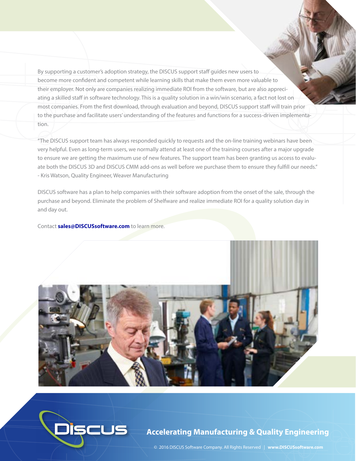By supporting a customer's adoption strategy, the DISCUS support staff guides new users to become more confident and competent while learning skills that make them even more valuable to their employer. Not only are companies realizing immediate ROI from the software, but are also appreciating a skilled staff in software technology. This is a quality solution in a win/win scenario, a fact not lost on most companies. From the first download, through evaluation and beyond, DISCUS support staff will train prior to the purchase and facilitate users' understanding of the features and functions for a success-driven implementation.

"The DISCUS support team has always responded quickly to requests and the on-line training webinars have been very helpful. Even as long-term users, we normally attend at least one of the training courses after a major upgrade to ensure we are getting the maximum use of new features. The support team has been granting us access to evaluate both the DISCUS 3D and DISCUS CMM add-ons as well before we purchase them to ensure they fulfill our needs." - Kris Watson, Quality Engineer, Weaver Manufacturing

DISCUS software has a plan to help companies with their software adoption from the onset of the sale, through the purchase and beyond. Eliminate the problem of Shelfware and realize immediate ROI for a quality solution day in and day out.

Contact **sales@DISCUSsoftware.com** to learn more.



#### **Accelerating Manufacturing & Quality Engineering**

© 2016 DISCUS Software Company. All Rights Reserved | **www.DISCUSsoftware.com**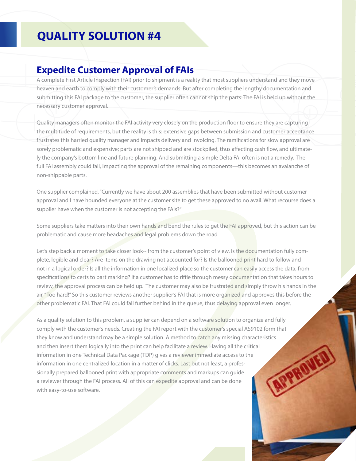## **Expedite Customer Approval of FAIs**

A complete First Article Inspection (FAI) prior to shipment is a reality that most suppliers understand and they move heaven and earth to comply with their customer's demands. But after completing the lengthy documentation and submitting this FAI package to the customer, the supplier often cannot ship the parts: The FAI is held up without the necessary customer approval.

Quality managers often monitor the FAI activity very closely on the production floor to ensure they are capturing the multitude of requirements, but the reality is this: extensive gaps between submission and customer acceptance frustrates this harried quality manager and impacts delivery and invoicing. The ramifications for slow approval are sorely problematic and expensive; parts are not shipped and are stockpiled, thus affecting cash flow, and ultimately the company's bottom line and future planning. And submitting a simple Delta FAI often is not a remedy. The full FAI assembly could fail, impacting the approval of the remaining components—this becomes an avalanche of non-shippable parts.

One supplier complained, "Currently we have about 200 assemblies that have been submitted without customer approval and I have hounded everyone at the customer site to get these approved to no avail. What recourse does a supplier have when the customer is not accepting the FAIs?"

Some suppliers take matters into their own hands and bend the rules to get the FAI approved, but this action can be problematic and cause more headaches and legal problems down the road.

Let's step back a moment to take closer look-- from the customer's point of view. Is the documentation fully complete, legible and clear? Are items on the drawing not accounted for? Is the ballooned print hard to follow and not in a logical order? Is all the information in one localized place so the customer can easily access the data, from specifications to certs to part marking? If a customer has to riffle through messy documentation that takes hours to review, the approval process can be held up. The customer may also be frustrated and simply throw his hands in the air, "Too hard!" So this customer reviews another supplier's FAI that is more organized and approves this before the other problematic FAI. That FAI could fall further behind in the queue, thus delaying approval even longer.

As a quality solution to this problem, a supplier can depend on a software solution to organize and fully comply with the customer's needs. Creating the FAI report with the customer's special AS9102 form that they know and understand may be a simple solution. A method to catch any missing characteristics and then insert them logically into the print can help facilitate a review. Having all the critical information in one Technical Data Package (TDP) gives a reviewer immediate access to the information in one centralized location in a matter of clicks. Last but not least, a professionally prepared ballooned print with appropriate comments and markups can guide a reviewer through the FAI process. All of this can expedite approval and can be done with easy-to-use software.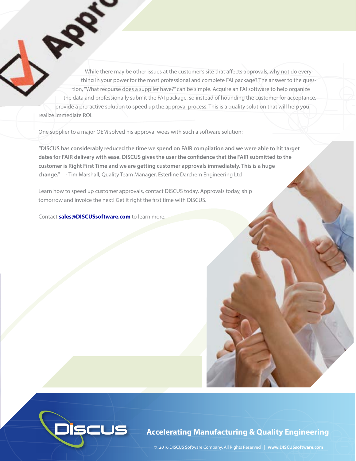While there may be other issues at the customer's site that affects approvals, why not do everything in your power for the most professional and complete FAI package? The answer to the question, "What recourse does a supplier have?" can be simple. Acquire an FAI software to help organize the data and professionally submit the FAI package, so instead of hounding the customer for acceptance, provide a pro-active solution to speed up the approval process. This is a quality solution that will help you realize immediate ROI.

One supplier to a major OEM solved his approval woes with such a software solution:

**"DISCUS has considerably reduced the time we spend on FAIR compilation and we were able to hit target dates for FAIR delivery with ease. DISCUS gives the user the confidence that the FAIR submitted to the customer is Right First Time and we are getting customer approvals immediately. This is a huge change."** - Tim Marshall, Quality Team Manager, Esterline Darchem Engineering Ltd

Learn how to speed up customer approvals, contact DISCUS today. Approvals today, ship tomorrow and invoice the next! Get it right the first time with DISCUS.

Contact **sales@DISCUSsoftware.com** to learn more.

#### **Accelerating Manufacturing & Quality Engineering**

© 2016 DISCUS Software Company. All Rights Reserved | **www.DISCUSsoftware.com**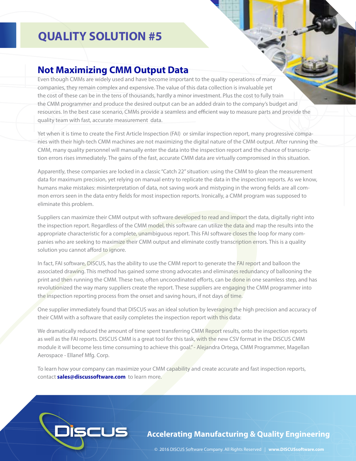### **Not Maximizing CMM Output Data**

Even though CMMs are widely used and have become important to the quality operations of many companies, they remain complex and expensive. The value of this data collection is invaluable yet the cost of these can be in the tens of thousands, hardly a minor investment. Plus the cost to fully train the CMM programmer and produce the desired output can be an added drain to the company's budget and resources. In the best case scenario, CMMs provide a seamless and efficient way to measure parts and provide the quality team with fast, accurate measurement data.

Yet when it is time to create the First Article Inspection (FAI) or similar inspection report, many progressive companies with their high-tech CMM machines are not maximizing the digital nature of the CMM output. After running the CMM, many quality personnel will manually enter the data into the inspection report and the chance of transcription errors rises immediately. The gains of the fast, accurate CMM data are virtually compromised in this situation.

Apparently, these companies are locked in a classic "Catch 22" situation: using the CMM to glean the measurement data for maximum precision, yet relying on manual entry to replicate the data in the inspection reports. As we know, humans make mistakes: misinterpretation of data, not saving work and mistyping in the wrong fields are all common errors seen in the data entry fields for most inspection reports. Ironically, a CMM program was supposed to eliminate this problem.

Suppliers can maximize their CMM output with software developed to read and import the data, digitally right into the inspection report. Regardless of the CMM model, this software can utilize the data and map the results into the appropriate characteristic for a complete, unambiguous report. This FAI software closes the loop for many companies who are seeking to maximize their CMM output and eliminate costly transcription errors. This is a quality solution you cannot afford to ignore.

In fact, FAI software, DISCUS, has the ability to use the CMM report to generate the FAI report and balloon the associated drawing. This method has gained some strong advocates and eliminates redundancy of ballooning the print and then running the CMM. These two, often uncoordinated efforts, can be done in one seamless step, and has revolutionized the way many suppliers create the report. These suppliers are engaging the CMM programmer into the inspection reporting process from the onset and saving hours, if not days of time.

One supplier immediately found that DISCUS was an ideal solution by leveraging the high precision and accuracy of their CMM with a software that easily completes the inspection report with this data:

We dramatically reduced the amount of time spent transferring CMM Report results, onto the inspection reports as well as the FAI reports. DISCUS CMM is a great tool for this task, with the new CSV format in the DISCUS CMM module it will become less time consuming to achieve this goal." - Alejandra Ortega, CMM Programmer, Magellan Aerospace - Ellanef Mfg. Corp.

To learn how your company can maximize your CMM capability and create accurate and fast inspection reports, contact **sales@discussoftware.com** to learn more.

**CUS** 

### **Accelerating Manufacturing & Quality Engineering**